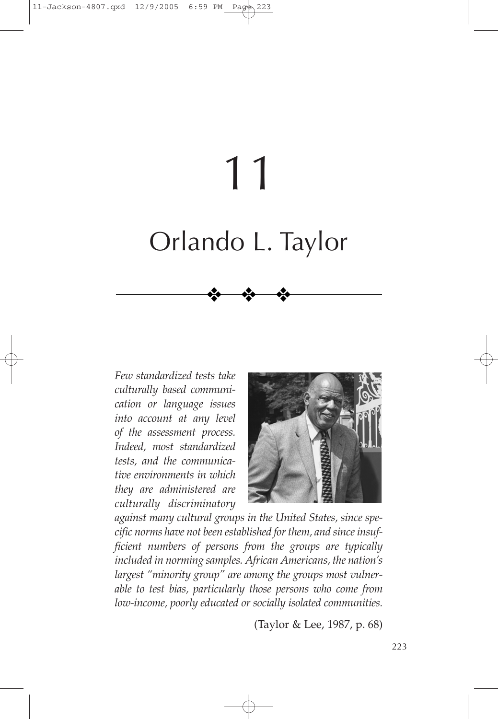# 11 Orlando L. Taylor

❖ ❖ ❖

*Few standardized tests take culturally based communication or language issues into account at any level of the assessment process. Indeed, most standardized tests, and the communicative environments in which they are administered are culturally discriminatory*



*against many cultural groups in the United States, since specific norms have not been established for them, and since insufficient numbers of persons from the groups are typically included in norming samples. African Americans, the nation's largest "minority group" are among the groups most vulnerable to test bias, particularly those persons who come from low-income, poorly educated or socially isolated communities.* 

(Taylor & Lee, 1987, p. 68)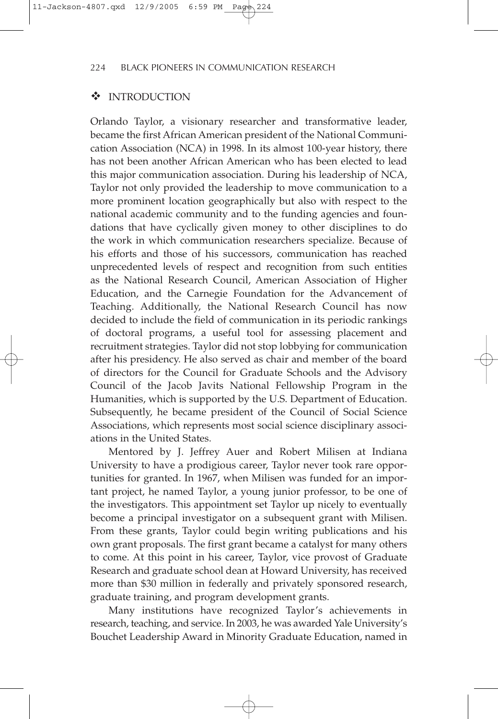# **\*** INTRODUCTION

Orlando Taylor, a visionary researcher and transformative leader, became the first African American president of the National Communication Association (NCA) in 1998. In its almost 100-year history, there has not been another African American who has been elected to lead this major communication association. During his leadership of NCA, Taylor not only provided the leadership to move communication to a more prominent location geographically but also with respect to the national academic community and to the funding agencies and foundations that have cyclically given money to other disciplines to do the work in which communication researchers specialize. Because of his efforts and those of his successors, communication has reached unprecedented levels of respect and recognition from such entities as the National Research Council, American Association of Higher Education, and the Carnegie Foundation for the Advancement of Teaching. Additionally, the National Research Council has now decided to include the field of communication in its periodic rankings of doctoral programs, a useful tool for assessing placement and recruitment strategies. Taylor did not stop lobbying for communication after his presidency. He also served as chair and member of the board of directors for the Council for Graduate Schools and the Advisory Council of the Jacob Javits National Fellowship Program in the Humanities, which is supported by the U.S. Department of Education. Subsequently, he became president of the Council of Social Science Associations, which represents most social science disciplinary associations in the United States.

Mentored by J. Jeffrey Auer and Robert Milisen at Indiana University to have a prodigious career, Taylor never took rare opportunities for granted. In 1967, when Milisen was funded for an important project, he named Taylor, a young junior professor, to be one of the investigators. This appointment set Taylor up nicely to eventually become a principal investigator on a subsequent grant with Milisen. From these grants, Taylor could begin writing publications and his own grant proposals. The first grant became a catalyst for many others to come. At this point in his career, Taylor, vice provost of Graduate Research and graduate school dean at Howard University, has received more than \$30 million in federally and privately sponsored research, graduate training, and program development grants.

Many institutions have recognized Taylor's achievements in research, teaching, and service. In 2003, he was awarded Yale University's Bouchet Leadership Award in Minority Graduate Education, named in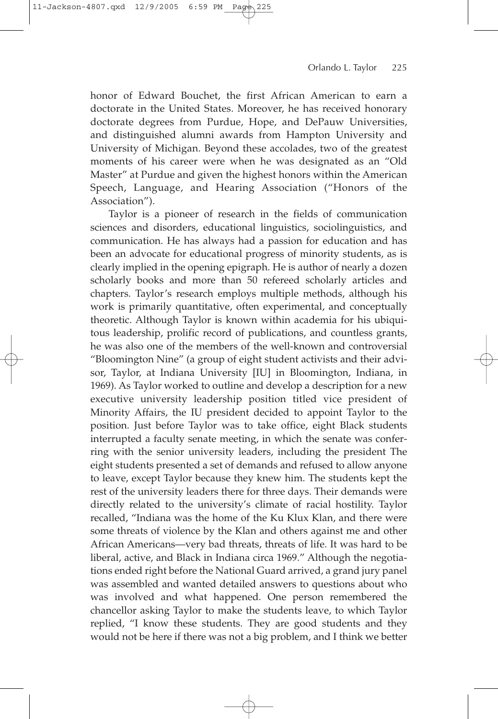honor of Edward Bouchet, the first African American to earn a doctorate in the United States. Moreover, he has received honorary doctorate degrees from Purdue, Hope, and DePauw Universities, and distinguished alumni awards from Hampton University and University of Michigan. Beyond these accolades, two of the greatest moments of his career were when he was designated as an "Old Master" at Purdue and given the highest honors within the American Speech, Language, and Hearing Association ("Honors of the Association").

Taylor is a pioneer of research in the fields of communication sciences and disorders, educational linguistics, sociolinguistics, and communication. He has always had a passion for education and has been an advocate for educational progress of minority students, as is clearly implied in the opening epigraph. He is author of nearly a dozen scholarly books and more than 50 refereed scholarly articles and chapters. Taylor's research employs multiple methods, although his work is primarily quantitative, often experimental, and conceptually theoretic. Although Taylor is known within academia for his ubiquitous leadership, prolific record of publications, and countless grants, he was also one of the members of the well-known and controversial "Bloomington Nine" (a group of eight student activists and their advisor, Taylor, at Indiana University [IU] in Bloomington, Indiana, in 1969). As Taylor worked to outline and develop a description for a new executive university leadership position titled vice president of Minority Affairs, the IU president decided to appoint Taylor to the position. Just before Taylor was to take office, eight Black students interrupted a faculty senate meeting, in which the senate was conferring with the senior university leaders, including the president The eight students presented a set of demands and refused to allow anyone to leave, except Taylor because they knew him. The students kept the rest of the university leaders there for three days. Their demands were directly related to the university's climate of racial hostility. Taylor recalled, "Indiana was the home of the Ku Klux Klan, and there were some threats of violence by the Klan and others against me and other African Americans—very bad threats, threats of life. It was hard to be liberal, active, and Black in Indiana circa 1969." Although the negotiations ended right before the National Guard arrived, a grand jury panel was assembled and wanted detailed answers to questions about who was involved and what happened. One person remembered the chancellor asking Taylor to make the students leave, to which Taylor replied, "I know these students. They are good students and they would not be here if there was not a big problem, and I think we better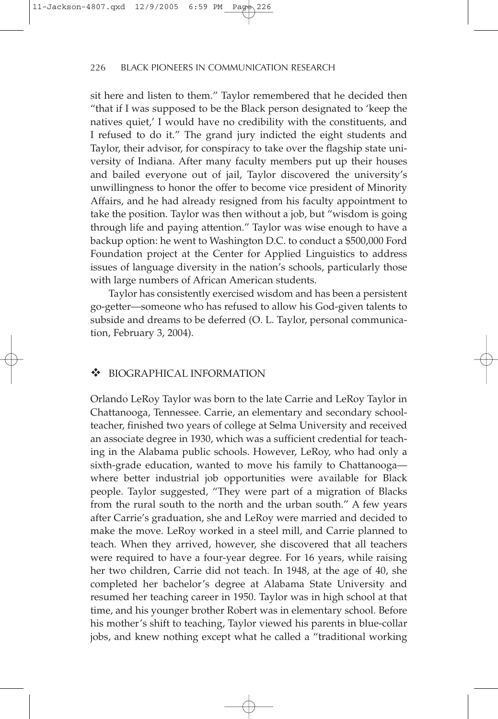sit here and listen to them." Taylor remembered that he decided then "that if I was supposed to be the Black person designated to 'keep the natives quiet,' I would have no credibility with the constituents, and I refused to do it." The grand jury indicted the eight students and Taylor, their advisor, for conspiracy to take over the flagship state university of Indiana. After many faculty members put up their houses and bailed everyone out of jail, Taylor discovered the university's unwillingness to honor the offer to become vice president of Minority Affairs, and he had already resigned from his faculty appointment to take the position. Taylor was then without a job, but "wisdom is going through life and paying attention." Taylor was wise enough to have a backup option: he went to Washington D.C. to conduct a \$500,000 Ford Foundation project at the Center for Applied Linguistics to address issues of language diversity in the nation's schools, particularly those with large numbers of African American students.

Taylor has consistently exercised wisdom and has been a persistent go-getter—someone who has refused to allow his God-given talents to subside and dreams to be deferred (O. L. Taylor, personal communication, February 3, 2004).

#### BIOGRAPHICAL INFORMATION

Orlando LeRoy Taylor was born to the late Carrie and LeRoy Taylor in Chattanooga, Tennessee. Carrie, an elementary and secondary schoolteacher, finished two years of college at Selma University and received an associate degree in 1930, which was a sufficient credential for teaching in the Alabama public schools. However, LeRoy, who had only a sixth-grade education, wanted to move his family to Chattanooga where better industrial job opportunities were available for Black people. Taylor suggested, "They were part of a migration of Blacks from the rural south to the north and the urban south." A few years after Carrie's graduation, she and LeRoy were married and decided to make the move. LeRoy worked in a steel mill, and Carrie planned to teach. When they arrived, however, she discovered that all teachers were required to have a four-year degree. For 16 years, while raising her two children, Carrie did not teach. In 1948, at the age of 40, she completed her bachelor's degree at Alabama State University and resumed her teaching career in 1950. Taylor was in high school at that time, and his younger brother Robert was in elementary school. Before his mother's shift to teaching, Taylor viewed his parents in blue-collar jobs, and knew nothing except what he called a "traditional working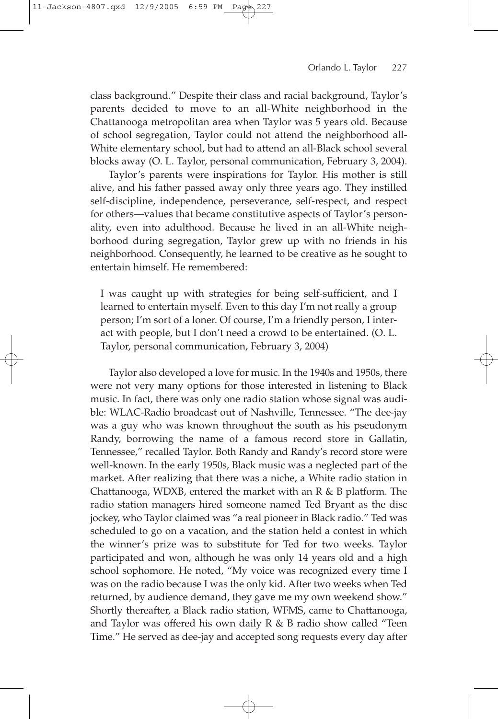class background." Despite their class and racial background, Taylor's parents decided to move to an all-White neighborhood in the Chattanooga metropolitan area when Taylor was 5 years old. Because of school segregation, Taylor could not attend the neighborhood all-White elementary school, but had to attend an all-Black school several blocks away (O. L. Taylor, personal communication, February 3, 2004).

Taylor's parents were inspirations for Taylor. His mother is still alive, and his father passed away only three years ago. They instilled self-discipline, independence, perseverance, self-respect, and respect for others—values that became constitutive aspects of Taylor's personality, even into adulthood. Because he lived in an all-White neighborhood during segregation, Taylor grew up with no friends in his neighborhood. Consequently, he learned to be creative as he sought to entertain himself. He remembered:

I was caught up with strategies for being self-sufficient, and I learned to entertain myself. Even to this day I'm not really a group person; I'm sort of a loner. Of course, I'm a friendly person, I interact with people, but I don't need a crowd to be entertained. (O. L. Taylor, personal communication, February 3, 2004)

Taylor also developed a love for music. In the 1940s and 1950s, there were not very many options for those interested in listening to Black music. In fact, there was only one radio station whose signal was audible: WLAC-Radio broadcast out of Nashville, Tennessee. "The dee-jay was a guy who was known throughout the south as his pseudonym Randy, borrowing the name of a famous record store in Gallatin, Tennessee," recalled Taylor. Both Randy and Randy's record store were well-known. In the early 1950s, Black music was a neglected part of the market. After realizing that there was a niche, a White radio station in Chattanooga, WDXB, entered the market with an R & B platform. The radio station managers hired someone named Ted Bryant as the disc jockey, who Taylor claimed was "a real pioneer in Black radio." Ted was scheduled to go on a vacation, and the station held a contest in which the winner's prize was to substitute for Ted for two weeks. Taylor participated and won, although he was only 14 years old and a high school sophomore. He noted, "My voice was recognized every time I was on the radio because I was the only kid. After two weeks when Ted returned, by audience demand, they gave me my own weekend show." Shortly thereafter, a Black radio station, WFMS, came to Chattanooga, and Taylor was offered his own daily R & B radio show called "Teen Time." He served as dee-jay and accepted song requests every day after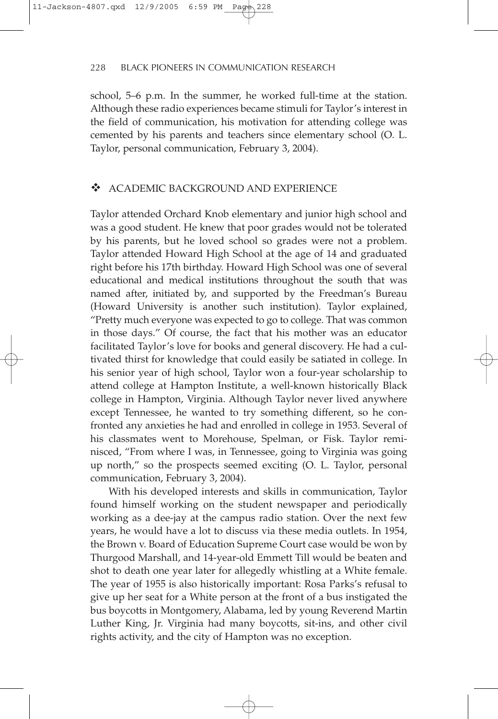school, 5–6 p.m. In the summer, he worked full-time at the station. Although these radio experiences became stimuli for Taylor's interest in the field of communication, his motivation for attending college was cemented by his parents and teachers since elementary school (O. L. Taylor, personal communication, February 3, 2004).

### ACADEMIC BACKGROUND AND EXPERIENCE

Taylor attended Orchard Knob elementary and junior high school and was a good student. He knew that poor grades would not be tolerated by his parents, but he loved school so grades were not a problem. Taylor attended Howard High School at the age of 14 and graduated right before his 17th birthday. Howard High School was one of several educational and medical institutions throughout the south that was named after, initiated by, and supported by the Freedman's Bureau (Howard University is another such institution). Taylor explained, "Pretty much everyone was expected to go to college. That was common in those days." Of course, the fact that his mother was an educator facilitated Taylor's love for books and general discovery. He had a cultivated thirst for knowledge that could easily be satiated in college. In his senior year of high school, Taylor won a four-year scholarship to attend college at Hampton Institute, a well-known historically Black college in Hampton, Virginia. Although Taylor never lived anywhere except Tennessee, he wanted to try something different, so he confronted any anxieties he had and enrolled in college in 1953. Several of his classmates went to Morehouse, Spelman, or Fisk. Taylor reminisced, "From where I was, in Tennessee, going to Virginia was going up north," so the prospects seemed exciting (O. L. Taylor, personal communication, February 3, 2004).

With his developed interests and skills in communication, Taylor found himself working on the student newspaper and periodically working as a dee-jay at the campus radio station. Over the next few years, he would have a lot to discuss via these media outlets. In 1954, the Brown v. Board of Education Supreme Court case would be won by Thurgood Marshall, and 14-year-old Emmett Till would be beaten and shot to death one year later for allegedly whistling at a White female. The year of 1955 is also historically important: Rosa Parks's refusal to give up her seat for a White person at the front of a bus instigated the bus boycotts in Montgomery, Alabama, led by young Reverend Martin Luther King, Jr. Virginia had many boycotts, sit-ins, and other civil rights activity, and the city of Hampton was no exception.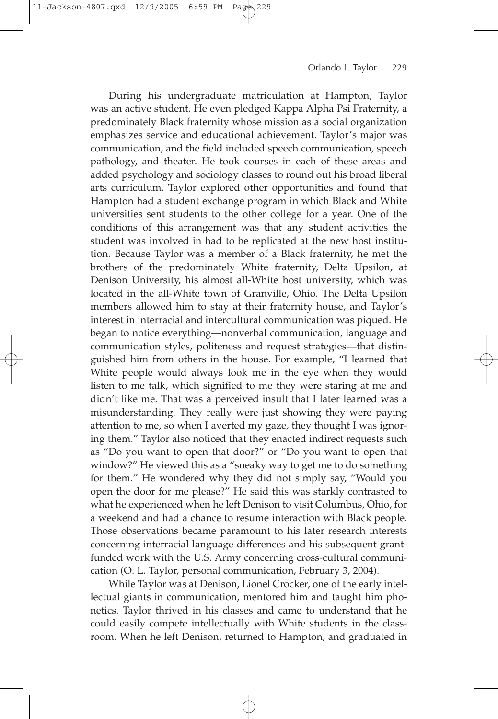11-Jackson-4807.qxd 12/9/2005

During his undergraduate matriculation at Hampton, Taylor was an active student. He even pledged Kappa Alpha Psi Fraternity, a predominately Black fraternity whose mission as a social organization emphasizes service and educational achievement. Taylor's major was communication, and the field included speech communication, speech pathology, and theater. He took courses in each of these areas and added psychology and sociology classes to round out his broad liberal arts curriculum. Taylor explored other opportunities and found that Hampton had a student exchange program in which Black and White universities sent students to the other college for a year. One of the conditions of this arrangement was that any student activities the student was involved in had to be replicated at the new host institution. Because Taylor was a member of a Black fraternity, he met the brothers of the predominately White fraternity, Delta Upsilon, at Denison University, his almost all-White host university, which was located in the all-White town of Granville, Ohio. The Delta Upsilon members allowed him to stay at their fraternity house, and Taylor's interest in interracial and intercultural communication was piqued. He began to notice everything—nonverbal communication, language and communication styles, politeness and request strategies—that distinguished him from others in the house. For example, "I learned that White people would always look me in the eye when they would listen to me talk, which signified to me they were staring at me and didn't like me. That was a perceived insult that I later learned was a misunderstanding. They really were just showing they were paying attention to me, so when I averted my gaze, they thought I was ignoring them." Taylor also noticed that they enacted indirect requests such as "Do you want to open that door?" or "Do you want to open that window?" He viewed this as a "sneaky way to get me to do something for them." He wondered why they did not simply say, "Would you open the door for me please?" He said this was starkly contrasted to what he experienced when he left Denison to visit Columbus, Ohio, for a weekend and had a chance to resume interaction with Black people. Those observations became paramount to his later research interests concerning interracial language differences and his subsequent grantfunded work with the U.S. Army concerning cross-cultural communication (O. L. Taylor, personal communication, February 3, 2004).

While Taylor was at Denison, Lionel Crocker, one of the early intellectual giants in communication, mentored him and taught him phonetics. Taylor thrived in his classes and came to understand that he could easily compete intellectually with White students in the classroom. When he left Denison, returned to Hampton, and graduated in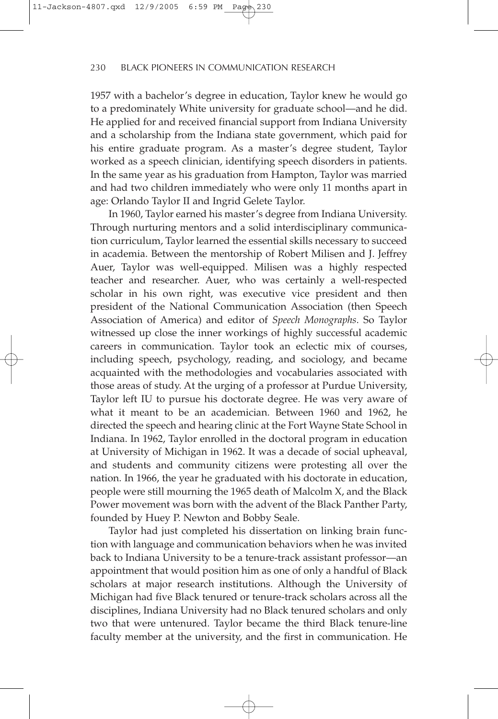1957 with a bachelor's degree in education, Taylor knew he would go to a predominately White university for graduate school—and he did. He applied for and received financial support from Indiana University and a scholarship from the Indiana state government, which paid for his entire graduate program. As a master's degree student, Taylor worked as a speech clinician, identifying speech disorders in patients. In the same year as his graduation from Hampton, Taylor was married and had two children immediately who were only 11 months apart in age: Orlando Taylor II and Ingrid Gelete Taylor.

In 1960, Taylor earned his master's degree from Indiana University. Through nurturing mentors and a solid interdisciplinary communication curriculum, Taylor learned the essential skills necessary to succeed in academia. Between the mentorship of Robert Milisen and J. Jeffrey Auer, Taylor was well-equipped. Milisen was a highly respected teacher and researcher. Auer, who was certainly a well-respected scholar in his own right, was executive vice president and then president of the National Communication Association (then Speech Association of America) and editor of *Speech Monographs*. So Taylor witnessed up close the inner workings of highly successful academic careers in communication. Taylor took an eclectic mix of courses, including speech, psychology, reading, and sociology, and became acquainted with the methodologies and vocabularies associated with those areas of study. At the urging of a professor at Purdue University, Taylor left IU to pursue his doctorate degree. He was very aware of what it meant to be an academician. Between 1960 and 1962, he directed the speech and hearing clinic at the Fort Wayne State School in Indiana. In 1962, Taylor enrolled in the doctoral program in education at University of Michigan in 1962. It was a decade of social upheaval, and students and community citizens were protesting all over the nation. In 1966, the year he graduated with his doctorate in education, people were still mourning the 1965 death of Malcolm X, and the Black Power movement was born with the advent of the Black Panther Party, founded by Huey P. Newton and Bobby Seale.

Taylor had just completed his dissertation on linking brain function with language and communication behaviors when he was invited back to Indiana University to be a tenure-track assistant professor—an appointment that would position him as one of only a handful of Black scholars at major research institutions. Although the University of Michigan had five Black tenured or tenure-track scholars across all the disciplines, Indiana University had no Black tenured scholars and only two that were untenured. Taylor became the third Black tenure-line faculty member at the university, and the first in communication. He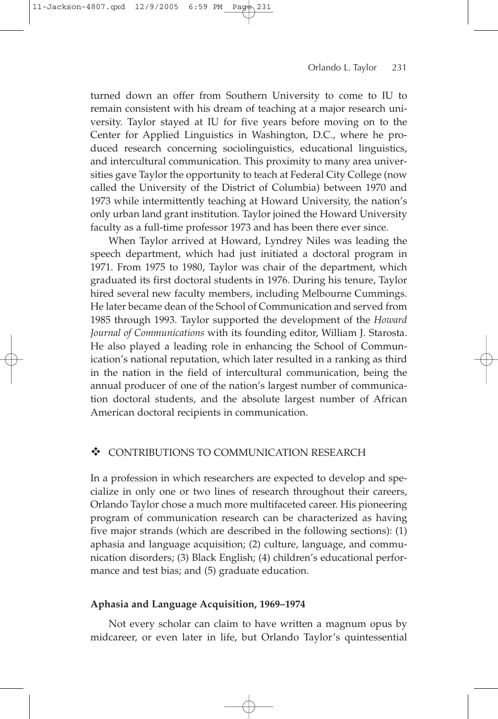turned down an offer from Southern University to come to IU to remain consistent with his dream of teaching at a major research university. Taylor stayed at IU for five years before moving on to the Center for Applied Linguistics in Washington, D.C., where he produced research concerning sociolinguistics, educational linguistics, and intercultural communication. This proximity to many area universities gave Taylor the opportunity to teach at Federal City College (now called the University of the District of Columbia) between 1970 and 1973 while intermittently teaching at Howard University, the nation's only urban land grant institution. Taylor joined the Howard University faculty as a full-time professor 1973 and has been there ever since.

11-Jackson-4807.qxd 12/9/2005 6:59 PM Page 231

When Taylor arrived at Howard, Lyndrey Niles was leading the speech department, which had just initiated a doctoral program in 1971. From 1975 to 1980, Taylor was chair of the department, which graduated its first doctoral students in 1976. During his tenure, Taylor hired several new faculty members, including Melbourne Cummings. He later became dean of the School of Communication and served from 1985 through 1993. Taylor supported the development of the *Howard Journal of Communications* with its founding editor, William J. Starosta. He also played a leading role in enhancing the School of Communication's national reputation, which later resulted in a ranking as third in the nation in the field of intercultural communication, being the annual producer of one of the nation's largest number of communication doctoral students, and the absolute largest number of African American doctoral recipients in communication.

## CONTRIBUTIONS TO COMMUNICATION RESEARCH

In a profession in which researchers are expected to develop and specialize in only one or two lines of research throughout their careers, Orlando Taylor chose a much more multifaceted career. His pioneering program of communication research can be characterized as having five major strands (which are described in the following sections): (1) aphasia and language acquisition; (2) culture, language, and communication disorders; (3) Black English; (4) children's educational performance and test bias; and (5) graduate education.

#### **Aphasia and Language Acquisition, 1969–1974**

Not every scholar can claim to have written a magnum opus by midcareer, or even later in life, but Orlando Taylor's quintessential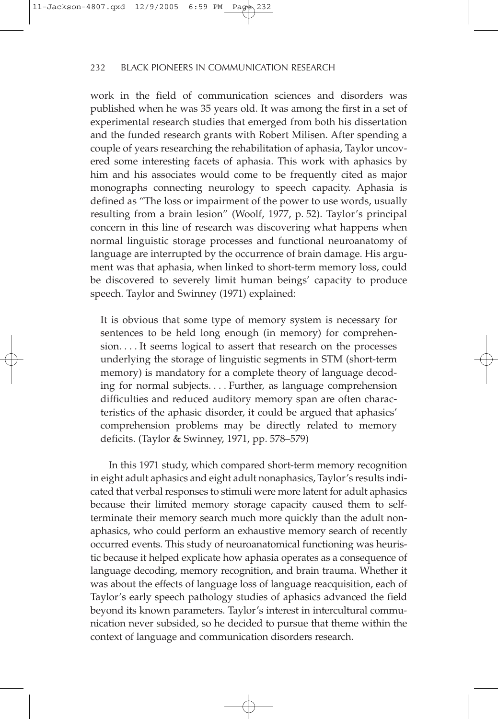work in the field of communication sciences and disorders was published when he was 35 years old. It was among the first in a set of experimental research studies that emerged from both his dissertation and the funded research grants with Robert Milisen. After spending a couple of years researching the rehabilitation of aphasia, Taylor uncovered some interesting facets of aphasia. This work with aphasics by him and his associates would come to be frequently cited as major monographs connecting neurology to speech capacity. Aphasia is defined as "The loss or impairment of the power to use words, usually resulting from a brain lesion" (Woolf, 1977, p. 52). Taylor's principal concern in this line of research was discovering what happens when normal linguistic storage processes and functional neuroanatomy of language are interrupted by the occurrence of brain damage. His argument was that aphasia, when linked to short-term memory loss, could be discovered to severely limit human beings' capacity to produce speech. Taylor and Swinney (1971) explained:

It is obvious that some type of memory system is necessary for sentences to be held long enough (in memory) for comprehension. . . . It seems logical to assert that research on the processes underlying the storage of linguistic segments in STM (short-term memory) is mandatory for a complete theory of language decoding for normal subjects.... Further, as language comprehension difficulties and reduced auditory memory span are often characteristics of the aphasic disorder, it could be argued that aphasics' comprehension problems may be directly related to memory deficits. (Taylor & Swinney, 1971, pp. 578–579)

In this 1971 study, which compared short-term memory recognition in eight adult aphasics and eight adult nonaphasics, Taylor's results indicated that verbal responses to stimuli were more latent for adult aphasics because their limited memory storage capacity caused them to selfterminate their memory search much more quickly than the adult nonaphasics, who could perform an exhaustive memory search of recently occurred events. This study of neuroanatomical functioning was heuristic because it helped explicate how aphasia operates as a consequence of language decoding, memory recognition, and brain trauma. Whether it was about the effects of language loss of language reacquisition, each of Taylor's early speech pathology studies of aphasics advanced the field beyond its known parameters. Taylor's interest in intercultural communication never subsided, so he decided to pursue that theme within the context of language and communication disorders research.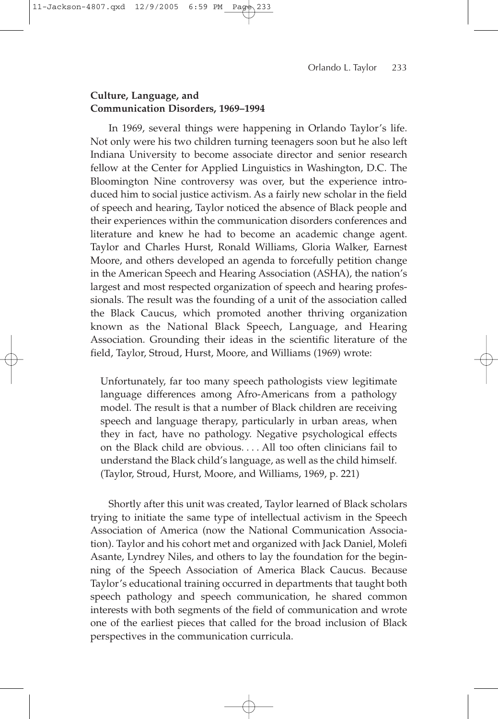# **Culture, Language, and Communication Disorders, 1969–1994**

In 1969, several things were happening in Orlando Taylor's life. Not only were his two children turning teenagers soon but he also left Indiana University to become associate director and senior research fellow at the Center for Applied Linguistics in Washington, D.C. The Bloomington Nine controversy was over, but the experience introduced him to social justice activism. As a fairly new scholar in the field of speech and hearing, Taylor noticed the absence of Black people and their experiences within the communication disorders conferences and literature and knew he had to become an academic change agent. Taylor and Charles Hurst, Ronald Williams, Gloria Walker, Earnest Moore, and others developed an agenda to forcefully petition change in the American Speech and Hearing Association (ASHA), the nation's largest and most respected organization of speech and hearing professionals. The result was the founding of a unit of the association called the Black Caucus, which promoted another thriving organization known as the National Black Speech, Language, and Hearing Association. Grounding their ideas in the scientific literature of the field, Taylor, Stroud, Hurst, Moore, and Williams (1969) wrote:

Unfortunately, far too many speech pathologists view legitimate language differences among Afro-Americans from a pathology model. The result is that a number of Black children are receiving speech and language therapy, particularly in urban areas, when they in fact, have no pathology. Negative psychological effects on the Black child are obvious. . . . All too often clinicians fail to understand the Black child's language, as well as the child himself. (Taylor, Stroud, Hurst, Moore, and Williams, 1969, p. 221)

Shortly after this unit was created, Taylor learned of Black scholars trying to initiate the same type of intellectual activism in the Speech Association of America (now the National Communication Association). Taylor and his cohort met and organized with Jack Daniel, Molefi Asante, Lyndrey Niles, and others to lay the foundation for the beginning of the Speech Association of America Black Caucus. Because Taylor's educational training occurred in departments that taught both speech pathology and speech communication, he shared common interests with both segments of the field of communication and wrote one of the earliest pieces that called for the broad inclusion of Black perspectives in the communication curricula.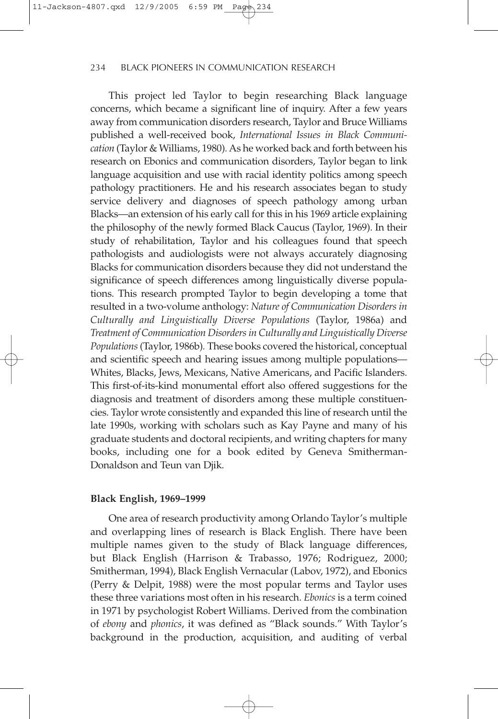This project led Taylor to begin researching Black language concerns, which became a significant line of inquiry. After a few years away from communication disorders research, Taylor and Bruce Williams published a well-received book, *International Issues in Black Communication* (Taylor & Williams, 1980)*.*As he worked back and forth between his research on Ebonics and communication disorders, Taylor began to link language acquisition and use with racial identity politics among speech pathology practitioners. He and his research associates began to study service delivery and diagnoses of speech pathology among urban Blacks—an extension of his early call for this in his 1969 article explaining the philosophy of the newly formed Black Caucus (Taylor, 1969). In their study of rehabilitation, Taylor and his colleagues found that speech pathologists and audiologists were not always accurately diagnosing Blacks for communication disorders because they did not understand the significance of speech differences among linguistically diverse populations. This research prompted Taylor to begin developing a tome that resulted in a two-volume anthology: *Nature of Communication Disorders in Culturally and Linguistically Diverse Populations* (Taylor, 1986a) and *Treatment of Communication Disorders in Culturally and Linguistically Diverse Populations* (Taylor, 1986b)*.* These books covered the historical, conceptual and scientific speech and hearing issues among multiple populations— Whites, Blacks, Jews, Mexicans, Native Americans, and Pacific Islanders. This first-of-its-kind monumental effort also offered suggestions for the diagnosis and treatment of disorders among these multiple constituencies. Taylor wrote consistently and expanded this line of research until the late 1990s, working with scholars such as Kay Payne and many of his graduate students and doctoral recipients, and writing chapters for many books, including one for a book edited by Geneva Smitherman-Donaldson and Teun van Djik.

#### **Black English, 1969–1999**

One area of research productivity among Orlando Taylor's multiple and overlapping lines of research is Black English. There have been multiple names given to the study of Black language differences, but Black English (Harrison & Trabasso, 1976; Rodriguez, 2000; Smitherman, 1994), Black English Vernacular (Labov, 1972), and Ebonics (Perry & Delpit, 1988) were the most popular terms and Taylor uses these three variations most often in his research. *Ebonics* is a term coined in 1971 by psychologist Robert Williams. Derived from the combination of *ebony* and *phonics*, it was defined as "Black sounds." With Taylor's background in the production, acquisition, and auditing of verbal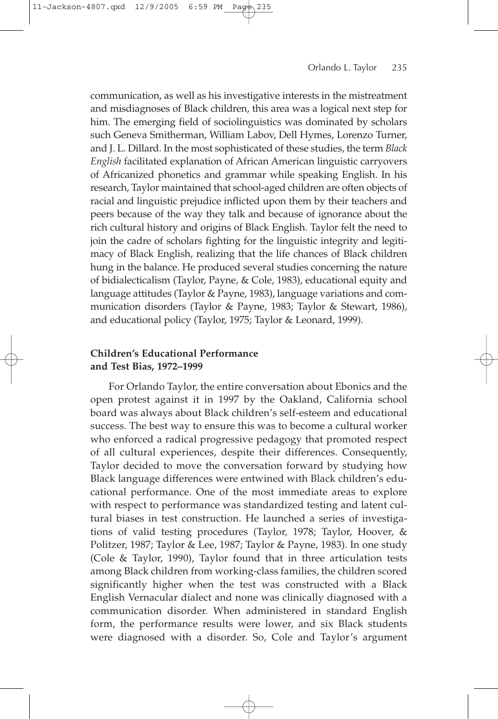communication, as well as his investigative interests in the mistreatment and misdiagnoses of Black children, this area was a logical next step for him. The emerging field of sociolinguistics was dominated by scholars such Geneva Smitherman, William Labov, Dell Hymes, Lorenzo Turner, and J. L. Dillard. In the most sophisticated of these studies, the term *Black English* facilitated explanation of African American linguistic carryovers of Africanized phonetics and grammar while speaking English. In his research, Taylor maintained that school-aged children are often objects of racial and linguistic prejudice inflicted upon them by their teachers and peers because of the way they talk and because of ignorance about the rich cultural history and origins of Black English. Taylor felt the need to join the cadre of scholars fighting for the linguistic integrity and legitimacy of Black English, realizing that the life chances of Black children hung in the balance. He produced several studies concerning the nature of bidialecticalism (Taylor, Payne, & Cole, 1983), educational equity and language attitudes (Taylor & Payne, 1983), language variations and communication disorders (Taylor & Payne, 1983; Taylor & Stewart, 1986), and educational policy (Taylor, 1975; Taylor & Leonard, 1999).

# **Children's Educational Performance and Test Bias, 1972–1999**

11-Jackson-4807.qxd 12/9/2005 6:59 PM Page 235

For Orlando Taylor, the entire conversation about Ebonics and the open protest against it in 1997 by the Oakland, California school board was always about Black children's self-esteem and educational success. The best way to ensure this was to become a cultural worker who enforced a radical progressive pedagogy that promoted respect of all cultural experiences, despite their differences. Consequently, Taylor decided to move the conversation forward by studying how Black language differences were entwined with Black children's educational performance. One of the most immediate areas to explore with respect to performance was standardized testing and latent cultural biases in test construction. He launched a series of investigations of valid testing procedures (Taylor, 1978; Taylor, Hoover, & Politzer, 1987; Taylor & Lee, 1987; Taylor & Payne, 1983). In one study (Cole & Taylor, 1990), Taylor found that in three articulation tests among Black children from working-class families, the children scored significantly higher when the test was constructed with a Black English Vernacular dialect and none was clinically diagnosed with a communication disorder. When administered in standard English form, the performance results were lower, and six Black students were diagnosed with a disorder. So, Cole and Taylor's argument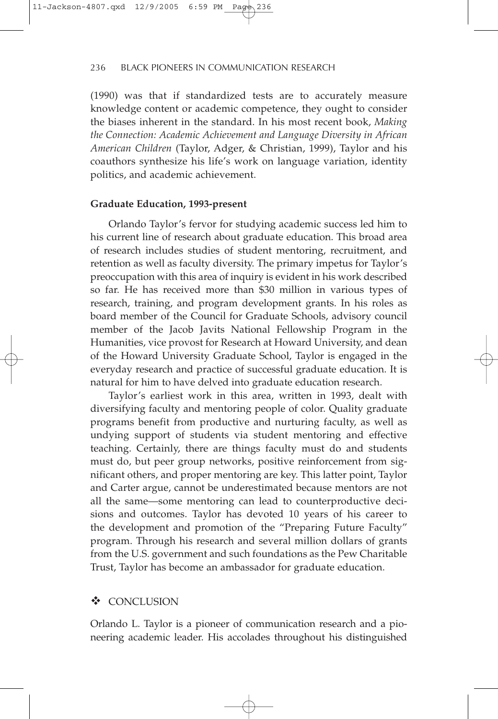(1990) was that if standardized tests are to accurately measure knowledge content or academic competence, they ought to consider the biases inherent in the standard. In his most recent book, *Making the Connection: Academic Achievement and Language Diversity in African American Children* (Taylor, Adger, & Christian, 1999), Taylor and his coauthors synthesize his life's work on language variation, identity politics, and academic achievement.

#### **Graduate Education, 1993-present**

Orlando Taylor's fervor for studying academic success led him to his current line of research about graduate education. This broad area of research includes studies of student mentoring, recruitment, and retention as well as faculty diversity. The primary impetus for Taylor's preoccupation with this area of inquiry is evident in his work described so far. He has received more than \$30 million in various types of research, training, and program development grants. In his roles as board member of the Council for Graduate Schools, advisory council member of the Jacob Javits National Fellowship Program in the Humanities, vice provost for Research at Howard University, and dean of the Howard University Graduate School, Taylor is engaged in the everyday research and practice of successful graduate education. It is natural for him to have delved into graduate education research.

Taylor's earliest work in this area, written in 1993, dealt with diversifying faculty and mentoring people of color. Quality graduate programs benefit from productive and nurturing faculty, as well as undying support of students via student mentoring and effective teaching. Certainly, there are things faculty must do and students must do, but peer group networks, positive reinforcement from significant others, and proper mentoring are key. This latter point, Taylor and Carter argue, cannot be underestimated because mentors are not all the same—some mentoring can lead to counterproductive decisions and outcomes. Taylor has devoted 10 years of his career to the development and promotion of the "Preparing Future Faculty" program. Through his research and several million dollars of grants from the U.S. government and such foundations as the Pew Charitable Trust, Taylor has become an ambassador for graduate education.

## **CONCLUSION**

Orlando L. Taylor is a pioneer of communication research and a pioneering academic leader. His accolades throughout his distinguished